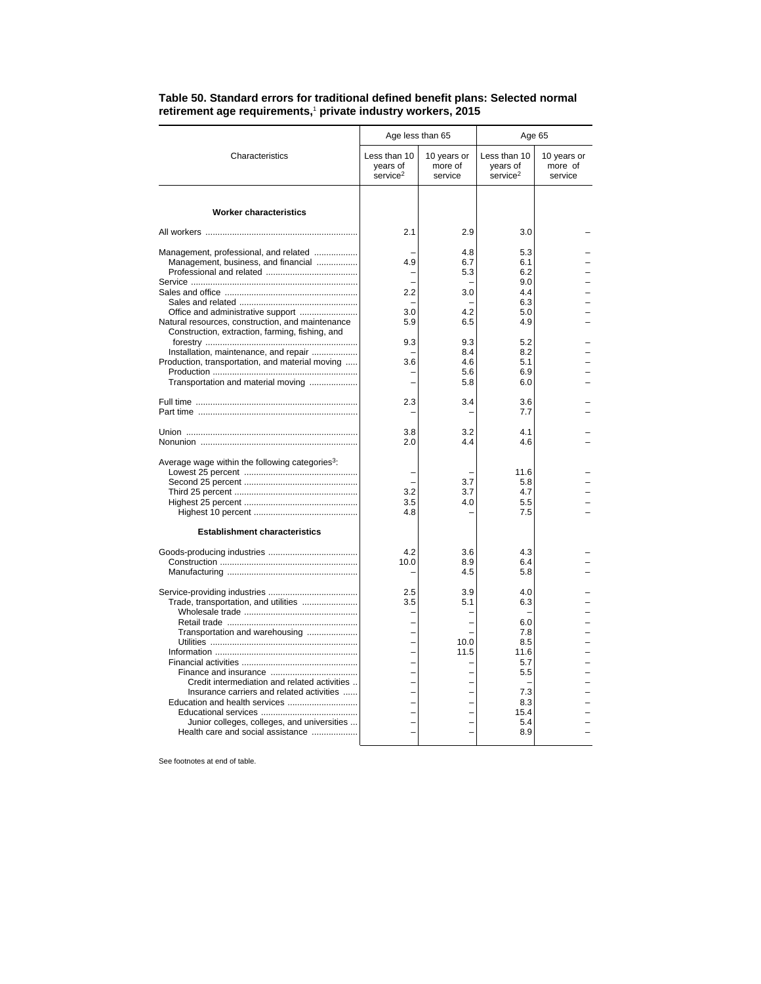|                                                                                                     | Age less than 65                                 |                                   | Age 65                                           |                                   |  |
|-----------------------------------------------------------------------------------------------------|--------------------------------------------------|-----------------------------------|--------------------------------------------------|-----------------------------------|--|
| Characteristics                                                                                     | Less than 10<br>years of<br>service <sup>2</sup> | 10 years or<br>more of<br>service | Less than 10<br>years of<br>service <sup>2</sup> | 10 years or<br>more of<br>service |  |
| <b>Worker characteristics</b>                                                                       |                                                  |                                   |                                                  |                                   |  |
|                                                                                                     | 2.1                                              | 2.9                               | 3.0                                              |                                   |  |
| Management, professional, and related<br>Management, business, and financial                        | 4.9                                              | 4.8<br>6.7<br>5.3                 | 5.3<br>6.1<br>6.2                                |                                   |  |
|                                                                                                     |                                                  |                                   | 9.0                                              |                                   |  |
|                                                                                                     | 2.2                                              | 3.0                               | 4.4                                              |                                   |  |
|                                                                                                     |                                                  |                                   | 6.3                                              |                                   |  |
|                                                                                                     | 3.0                                              | 4.2                               | 5.0                                              |                                   |  |
| Natural resources, construction, and maintenance<br>Construction, extraction, farming, fishing, and | 5.9                                              | 6.5                               | 4.9                                              |                                   |  |
| Installation, maintenance, and repair                                                               | 9.3                                              | 9.3<br>8.4                        | 5.2<br>8.2                                       |                                   |  |
| Production, transportation, and material moving                                                     | 3.6                                              | 4.6                               | 5.1                                              |                                   |  |
|                                                                                                     |                                                  | 5.6                               | 6.9                                              |                                   |  |
| Transportation and material moving                                                                  |                                                  | 5.8                               | 6.0                                              |                                   |  |
|                                                                                                     | 2.3                                              | 3.4                               | 3.6                                              |                                   |  |
|                                                                                                     |                                                  |                                   | 7.7                                              |                                   |  |
|                                                                                                     | 3.8                                              | 3.2                               | 4.1                                              |                                   |  |
|                                                                                                     | 2.0                                              | 4.4                               | 4.6                                              |                                   |  |
|                                                                                                     |                                                  |                                   |                                                  |                                   |  |
| Average wage within the following categories <sup>3</sup> :                                         |                                                  |                                   | 11.6                                             |                                   |  |
|                                                                                                     |                                                  | 3.7                               | 5.8                                              |                                   |  |
|                                                                                                     |                                                  |                                   |                                                  |                                   |  |
|                                                                                                     | 3.2                                              | 3.7                               | 4.7                                              |                                   |  |
|                                                                                                     | 3.5                                              | 4.0                               | 5.5                                              |                                   |  |
|                                                                                                     | 4.8                                              |                                   | 7.5                                              |                                   |  |
| <b>Establishment characteristics</b>                                                                |                                                  |                                   |                                                  |                                   |  |
|                                                                                                     | 4.2                                              | 3.6                               | 4.3                                              |                                   |  |
|                                                                                                     | 10.0                                             | 8.9                               | 6.4                                              |                                   |  |
|                                                                                                     |                                                  | 4.5                               | 5.8                                              |                                   |  |
|                                                                                                     | 2.5                                              | 3.9                               | 4.0                                              |                                   |  |
| Trade, transportation, and utilities                                                                | 3.5                                              | 5.1                               | 6.3                                              |                                   |  |
|                                                                                                     |                                                  |                                   |                                                  |                                   |  |
|                                                                                                     |                                                  |                                   | 6.0                                              |                                   |  |
| Transportation and warehousing                                                                      |                                                  |                                   | 7.8                                              |                                   |  |
|                                                                                                     |                                                  | 10.0                              | 8.5                                              |                                   |  |
|                                                                                                     |                                                  | 11.5                              | 11.6                                             |                                   |  |
|                                                                                                     |                                                  |                                   | 5.7                                              |                                   |  |
|                                                                                                     |                                                  |                                   | 5.5                                              |                                   |  |
| Credit intermediation and related activities                                                        |                                                  |                                   |                                                  |                                   |  |
| Insurance carriers and related activities                                                           |                                                  |                                   | 7.3                                              |                                   |  |
| Education and health services                                                                       |                                                  |                                   | 8.3                                              |                                   |  |
|                                                                                                     |                                                  |                                   | 15.4                                             |                                   |  |
| Junior colleges, colleges, and universities                                                         |                                                  |                                   | 5.4                                              |                                   |  |
| Health care and social assistance                                                                   |                                                  |                                   | 8.9                                              |                                   |  |
|                                                                                                     |                                                  |                                   |                                                  |                                   |  |

## **Table 50. Standard errors for traditional defined benefit plans: Selected normal retirement age requirements,**<sup>1</sup>  **private industry workers, 2015**

See footnotes at end of table.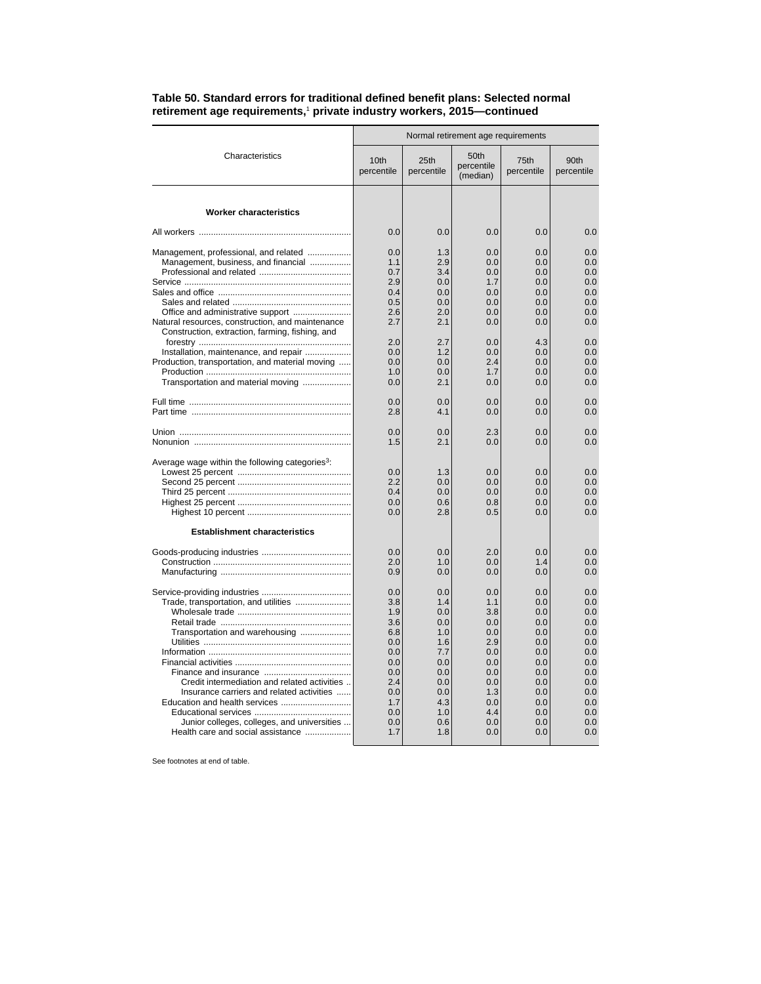| Normal retirement age requirements |                                                                                                                                                                                                                                                                                                                                                                                                                                                                                                                   |                                            |                          |                                 |
|------------------------------------|-------------------------------------------------------------------------------------------------------------------------------------------------------------------------------------------------------------------------------------------------------------------------------------------------------------------------------------------------------------------------------------------------------------------------------------------------------------------------------------------------------------------|--------------------------------------------|--------------------------|---------------------------------|
| 10th<br>percentile                 | 25th<br>percentile                                                                                                                                                                                                                                                                                                                                                                                                                                                                                                | 50 <sub>th</sub><br>percentile<br>(median) | 75th<br>percentile       | 90th<br>percentile              |
|                                    |                                                                                                                                                                                                                                                                                                                                                                                                                                                                                                                   |                                            |                          |                                 |
| 0.0                                | 0.0                                                                                                                                                                                                                                                                                                                                                                                                                                                                                                               | 0.0                                        | 0.0                      | 0.0                             |
| 0.0                                | 1.3                                                                                                                                                                                                                                                                                                                                                                                                                                                                                                               | 0.0                                        | 0.0                      | 0.0                             |
| 1.1                                | 2.9                                                                                                                                                                                                                                                                                                                                                                                                                                                                                                               | 0.0                                        | 0.0                      | 0.0                             |
| 0.7                                | 3.4                                                                                                                                                                                                                                                                                                                                                                                                                                                                                                               | 0.0                                        | 0.0                      | 0.0                             |
| 2.9                                | 0.0                                                                                                                                                                                                                                                                                                                                                                                                                                                                                                               | 1.7                                        | 0.0                      | 0.0                             |
| 0.4                                | 0.0                                                                                                                                                                                                                                                                                                                                                                                                                                                                                                               | 0.0                                        | 0.0                      | 0.0                             |
| 0.5                                | 0.0                                                                                                                                                                                                                                                                                                                                                                                                                                                                                                               | 0.0                                        | 0.0                      | 0.0                             |
| 2.6                                | 2.0                                                                                                                                                                                                                                                                                                                                                                                                                                                                                                               | 0.0                                        | 0.0                      | 0.0                             |
| 2.7                                | 2.1                                                                                                                                                                                                                                                                                                                                                                                                                                                                                                               | 0.0                                        | 0.0                      | 0.0                             |
| 2.0<br>0.0<br>0.0<br>1.0<br>0.0    | 2.7<br>1.2<br>0.0<br>0.0<br>2.1                                                                                                                                                                                                                                                                                                                                                                                                                                                                                   | 0.0<br>0.0<br>2.4<br>1.7<br>0.0            | 0.0<br>0.0<br>0.0<br>0.0 | 0.0<br>0.0<br>0.0<br>0.0<br>0.0 |
| 0.0                                | 0.0                                                                                                                                                                                                                                                                                                                                                                                                                                                                                                               | 0.0                                        | 0.0                      | 0.0                             |
| 2.8                                | 4.1                                                                                                                                                                                                                                                                                                                                                                                                                                                                                                               | 0.0                                        | 0.0                      | 0.0                             |
| 0.0                                | 0.0                                                                                                                                                                                                                                                                                                                                                                                                                                                                                                               | 2.3                                        | 0.0                      | 0.0                             |
| 1.5                                | 2.1                                                                                                                                                                                                                                                                                                                                                                                                                                                                                                               | 0.0                                        | 0.0                      | 0.0                             |
| 0.0                                | 1.3                                                                                                                                                                                                                                                                                                                                                                                                                                                                                                               | 0.0                                        | 0.0                      | 0.0                             |
| $2.2\phantom{0}$                   | 0.0                                                                                                                                                                                                                                                                                                                                                                                                                                                                                                               | 0.0                                        | 0.0                      | 0.0                             |
| 0.4                                | 0.0                                                                                                                                                                                                                                                                                                                                                                                                                                                                                                               | 0.0                                        | 0.0                      | 0.0                             |
| 0.0                                | 0.6                                                                                                                                                                                                                                                                                                                                                                                                                                                                                                               | 0.8                                        | 0.0                      | 0.0                             |
| 0.0                                | 2.8                                                                                                                                                                                                                                                                                                                                                                                                                                                                                                               | 0.5                                        | 0.0                      | 0.0                             |
| 0.0                                | 0.0                                                                                                                                                                                                                                                                                                                                                                                                                                                                                                               | 2.0                                        | 0.0                      | 0.0                             |
| 2.0                                | 1.0                                                                                                                                                                                                                                                                                                                                                                                                                                                                                                               | 0.0                                        | 1.4                      | 0.0                             |
| 0.9                                | 0.0                                                                                                                                                                                                                                                                                                                                                                                                                                                                                                               | 0.0                                        | 0.0                      | 0.0                             |
| 0.0                                | 0.0                                                                                                                                                                                                                                                                                                                                                                                                                                                                                                               | 0.0                                        | 0.0                      | 0.0                             |
| 3.8                                | 1.4                                                                                                                                                                                                                                                                                                                                                                                                                                                                                                               | 1.1                                        | 0.0                      | 0.0                             |
| 1.9                                | 0.0                                                                                                                                                                                                                                                                                                                                                                                                                                                                                                               | 3.8                                        | 0.0                      | 0.0                             |
| 3.6                                | 0.0                                                                                                                                                                                                                                                                                                                                                                                                                                                                                                               | 0.0                                        | 0.0                      | 0.0                             |
| 6.8                                | 1.0                                                                                                                                                                                                                                                                                                                                                                                                                                                                                                               | 0.0                                        | 0.0                      | 0.0                             |
| 0.0                                | 1.6                                                                                                                                                                                                                                                                                                                                                                                                                                                                                                               | 2.9                                        | 0.0                      | 0.0                             |
| 0.0                                | 7.7                                                                                                                                                                                                                                                                                                                                                                                                                                                                                                               | 0.0                                        | 0.0                      | 0.0                             |
| 0.0                                | 0.0                                                                                                                                                                                                                                                                                                                                                                                                                                                                                                               | 0.0                                        | 0.0                      | 0.0                             |
| 0.0                                | 0.0                                                                                                                                                                                                                                                                                                                                                                                                                                                                                                               | 0.0                                        | 0.0                      | 0.0                             |
| 2.4                                | 0.0                                                                                                                                                                                                                                                                                                                                                                                                                                                                                                               | 0.0                                        | 0.0                      | 0.0                             |
| 0.0                                | 0.0                                                                                                                                                                                                                                                                                                                                                                                                                                                                                                               | 1.3                                        | 0.0                      | 0.0                             |
| 1.7                                | 4.3                                                                                                                                                                                                                                                                                                                                                                                                                                                                                                               | 0.0                                        | 0.0                      | 0.0                             |
| 0.0                                | 1.0                                                                                                                                                                                                                                                                                                                                                                                                                                                                                                               | 4.4                                        | 0.0                      | 0.0                             |
| 0.0                                | 0.6                                                                                                                                                                                                                                                                                                                                                                                                                                                                                                               | 0.0                                        | 0.0                      | 0.0                             |
|                                    | Management, professional, and related<br>Management, business, and financial<br>Installation, maintenance, and repair<br>Production, transportation, and material moving<br>Transportation and material moving<br>Trade, transportation, and utilities<br>Transportation and warehousing<br>Credit intermediation and related activities<br>Insurance carriers and related activities<br>Education and health services<br>Junior colleges, colleges, and universities<br>Health care and social assistance<br>1.7 | 1.8                                        | 0.0                      | 4.3<br>0.0                      |

## **Table 50. Standard errors for traditional defined benefit plans: Selected normal retirement age requirements,**<sup>1</sup>  **private industry workers, 2015—continued**

See footnotes at end of table.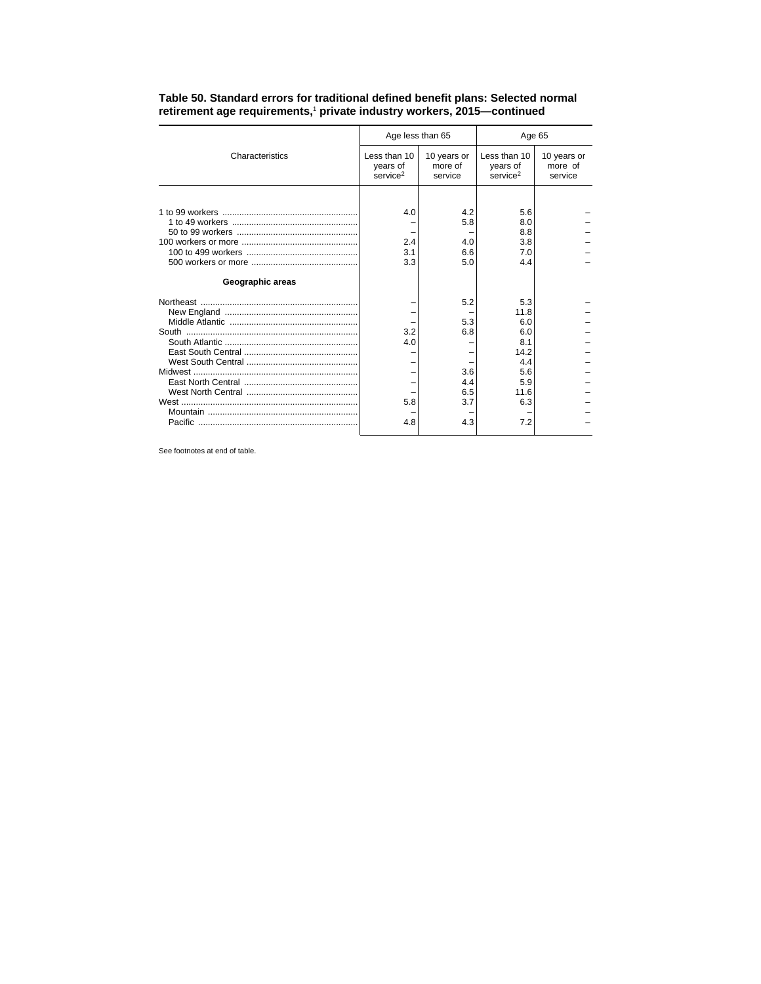|                  | Age less than 65                                 |                                   | Age 65                                           |                                   |  |
|------------------|--------------------------------------------------|-----------------------------------|--------------------------------------------------|-----------------------------------|--|
| Characteristics  | Less than 10<br>years of<br>service <sup>2</sup> | 10 years or<br>more of<br>service | Less than 10<br>years of<br>service <sup>2</sup> | 10 years or<br>more of<br>service |  |
|                  |                                                  |                                   |                                                  |                                   |  |
| Geographic areas | 4.0<br>2.4<br>3.1<br>3.3                         | 4.2<br>5.8<br>4.0<br>6.6<br>5.0   | 5.6<br>8.0<br>8.8<br>3.8<br>7.0<br>4.4           |                                   |  |
|                  |                                                  |                                   |                                                  |                                   |  |
|                  |                                                  | 5.2                               | 5.3                                              |                                   |  |
|                  |                                                  | 5.3                               | 11.8<br>6.0                                      |                                   |  |
|                  | 3.2                                              | 6.8                               | 6.0                                              |                                   |  |
|                  | 4.0                                              |                                   | 8.1                                              |                                   |  |
|                  |                                                  |                                   | 14.2                                             |                                   |  |
|                  |                                                  |                                   | 4.4                                              |                                   |  |
|                  |                                                  | 3.6                               | 5.6                                              |                                   |  |
|                  |                                                  | 4.4                               | 5.9                                              |                                   |  |
|                  |                                                  | 6.5                               | 11.6                                             |                                   |  |
|                  | 5.8                                              | 3.7                               | 6.3                                              |                                   |  |
|                  | 4.8                                              | 4.3                               | 7.2                                              |                                   |  |

**Table 50. Standard errors for traditional defined benefit plans: Selected normal retirement age requirements,**<sup>1</sup>  **private industry workers, 2015—continued**

See footnotes at end of table.